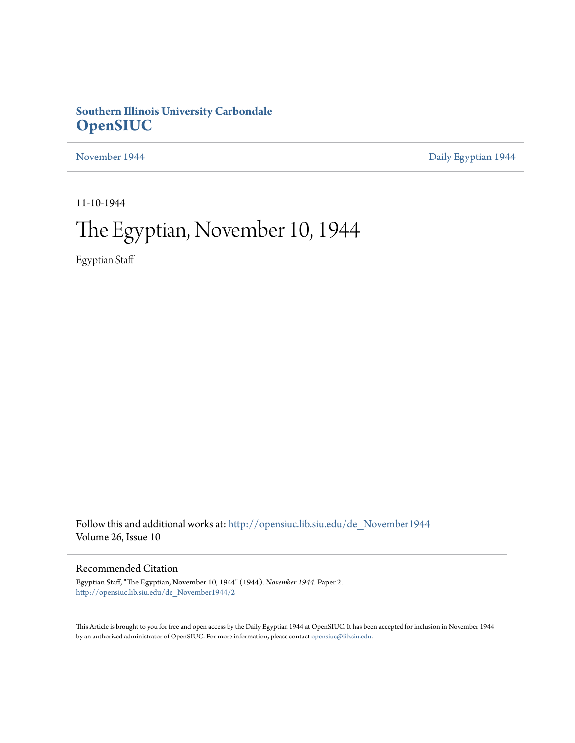## **Southern Illinois University Carbondale [OpenSIUC](http://opensiuc.lib.siu.edu?utm_source=opensiuc.lib.siu.edu%2Fde_November1944%2F2&utm_medium=PDF&utm_campaign=PDFCoverPages)**

[November 1944](http://opensiuc.lib.siu.edu/de_November1944?utm_source=opensiuc.lib.siu.edu%2Fde_November1944%2F2&utm_medium=PDF&utm_campaign=PDFCoverPages) **[Daily Egyptian 1944](http://opensiuc.lib.siu.edu/de_1944?utm_source=opensiuc.lib.siu.edu%2Fde_November1944%2F2&utm_medium=PDF&utm_campaign=PDFCoverPages)** 

11-10-1944

# The Egyptian, November 10, 1944

Egyptian Staff

Follow this and additional works at: [http://opensiuc.lib.siu.edu/de\\_November1944](http://opensiuc.lib.siu.edu/de_November1944?utm_source=opensiuc.lib.siu.edu%2Fde_November1944%2F2&utm_medium=PDF&utm_campaign=PDFCoverPages) Volume 26, Issue 10

## Recommended Citation

Egyptian Staff, "The Egyptian, November 10, 1944" (1944). *November 1944.* Paper 2. [http://opensiuc.lib.siu.edu/de\\_November1944/2](http://opensiuc.lib.siu.edu/de_November1944/2?utm_source=opensiuc.lib.siu.edu%2Fde_November1944%2F2&utm_medium=PDF&utm_campaign=PDFCoverPages)

This Article is brought to you for free and open access by the Daily Egyptian 1944 at OpenSIUC. It has been accepted for inclusion in November 1944 by an authorized administrator of OpenSIUC. For more information, please contact [opensiuc@lib.siu.edu.](mailto:opensiuc@lib.siu.edu)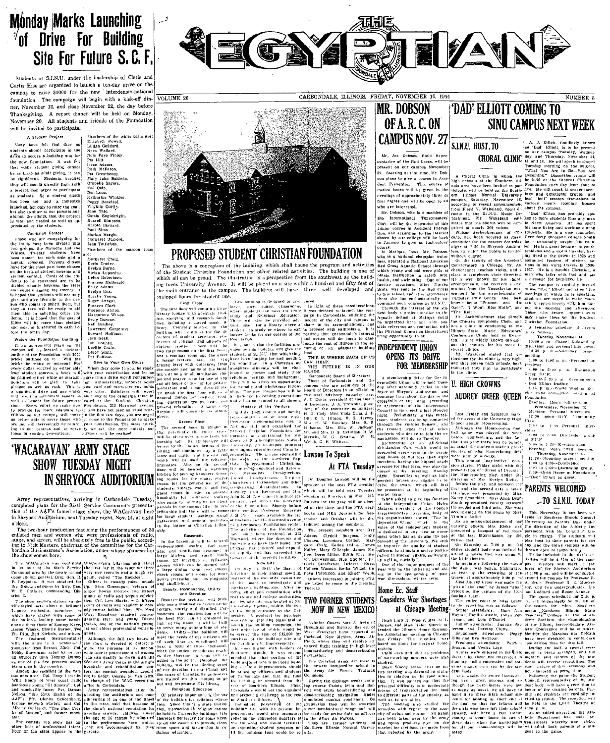## **Monday Marks Launching** <sup>7</sup>of Drive For Building Site For Future S.C.F.

Students of S.I.N.U. under the leadership of Cletis and Curtis Hise are organized to launch a ten-day drive on the campus to raise \$1000 for the new interdenominational foundation. The campaign will begin with a kick-off din-VOLUME 26 ner, November 12, and close November 22, the day before Thanksgiving. A report dinner will be held on Monday November 20. All students and friends of the Foundation will be invited to participate.

6



CARBONDALE, ILLINOIS, FRIDAY, NOVEMBER 10, 1944

**SINU CAMPUS NEXT WEEK** 

**THE ZANN** 

NUMBER 8

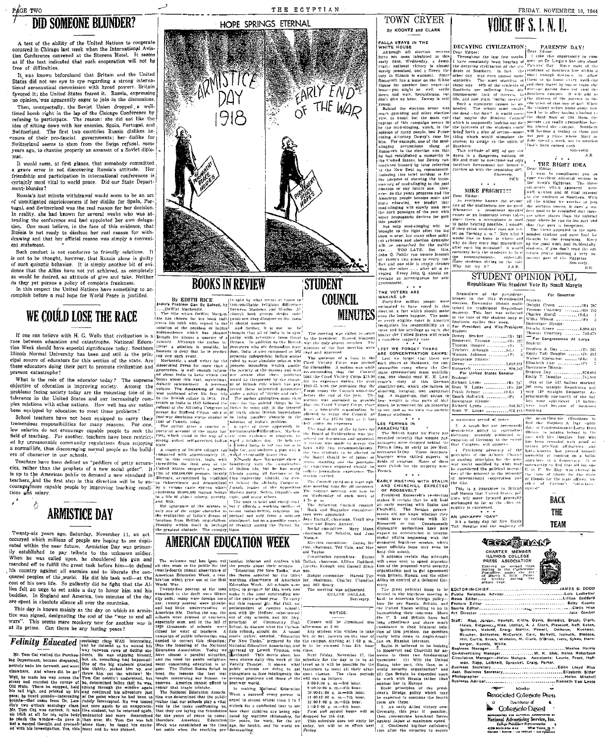## **DID SOMEONE BLUNDER?**

A test of the ability of the United Nations to cooperate occurred in Chicago last week when the International Aviation Conference convened at the Stevens Hotel. It seems as if the test indicated that such cooperation will not be<br>free of difficulties.

It was known beforehand that Britain and the United States did not see eye to eye regarding a strong interna-<br>tional aeronautical commission with broad powers. Britain favored it; the United States feared it. Russia, expressing no opinion, was apparently eager to join in the discussions

Then, unexpectedly, the Soviet Union dropped a welltimed borth right in the lap of the Chicago Conference by<br>trefluing to participate. The reason: she did not like the<br>idea of sitting down with her enemies. Spain, Portugal, and<br>idea of sitting down with her enemies. Spain, seause of their pro-fascist governments; her dislike for Switzerland seems to star from the Switzerland server years ago, to chastise properly an assassin of a Soviet diplo-

It would seem, at first glance, that somebody committed a grave error in not discovering Russia's attitude. Her friendship and participation in international conferences is certainly most vital to world peace. Did our State Department-blunder?

Russia's last minute withdrawal would seem to be an act of unmitigated capriciousness if her dislike for Spain, Portugal, and Switzerland was the real reason for her decision. In reality, she had known for several weeks who was atin resulty, sue nat shown for several weeks who was arrived in the dengation. One must believe, in the face of this evidence, that Russia is not ready to disclose her real reason for with disclose the discussion of with di ent statement.

Such conduct is not conducive to friendly relations. It is not to be thought, however, that Russia alone is guilty of such quixotic behavior. It is simply another bit of evi-<br>dence that the Allies have not yet achieved, as completely as would be desired, an attitude of give and take. Neither do they yet pursue a policy of complete frankness.





THE EGYPTIAN

## **BOOKS IN REVIEW**

TOWN CRYER By KOONTZ and CLARK

LOWINGTONIAL SURFACE IN THE CONTROL CULTURE IN A REPORT OF A REPORT OF A REPORT OF A REPORT OF A REPORT OF A REPORT OF A REPORT OF A REPORT OF A REPORT OF A REPORT OF A REPORT OF A REPORT OF A REPORT OF A REPORT OF A REPO

**STUDENT** 

VOICE OF S. I. N. U.



| aff: Rice, Jordan, Hewlett, Kittle, Davis, Benedict, Brush, Clark,  |  |
|---------------------------------------------------------------------|--|
| Heien, Ridgeway, Hise, Stotlar, A. J. Clark, Pleasant, Neff, Eaton, |  |
| Sullivan, Malone, Craig, Martin, Powell, Oelheim, Kuehner,          |  |
| Boucher, Schlueter, McCorkie, Cain, McNelll, Ivanuck, Bledsce,      |  |
|                                                                     |  |

| Circulation Manager-Helen Mataya. Assistants: Laurie, Frost, Hoff- |
|--------------------------------------------------------------------|
| man, Rapp, Leibhelt, Sprankel, Craig, Porter.                      |
|                                                                    |
| Asst. Business SecretaryElizabeth Sitter                           |
|                                                                    |
|                                                                    |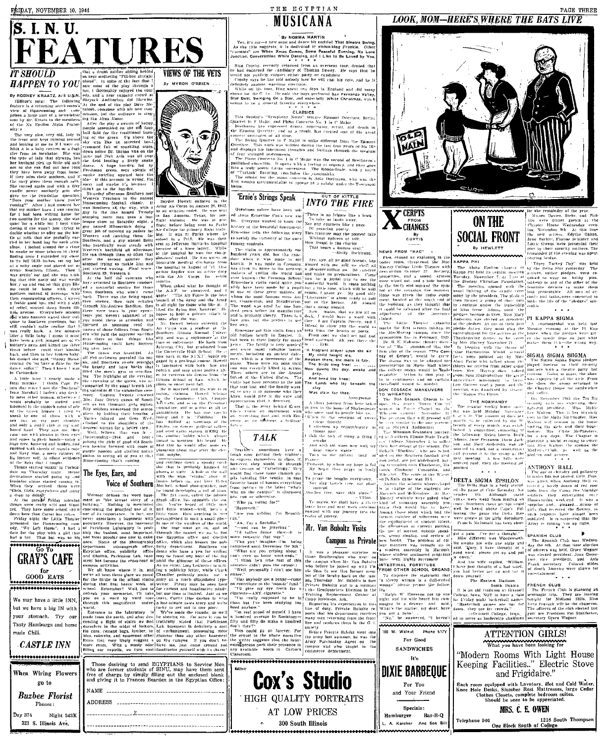FRIDAY, NOVEMBER 10, 1944



job of messing ap

team

......»<br>better

**IT SHOULD** The second of the second of the second of the second of the second of the second of the second of the second of the second of the second function  $\mathbf{r}$  is a second of the second of the second of the second

alyway<sub>s</sub> has<br>little old sailk up little old sail<br>find out how tons ay asan .<br>A J was coming guy in the line een writing home for roune tor<br>kept would<br>trying to<br>the hot stonning more men looked uround for ries or some tobacco to sionned trying ve ilk their<br>with bye, and with a sight there were<br>tears you v : banners waved their w<br>Southern greetings, but<br>da't nuite realize that ro<br>Soul<br>oulda't really back back. A few minutes<br>baby. I guess it must en a girl, jumped out of P arms and kissed me

Carbondale

thank Capt. Pr<br>thank Capt. Pr eshall I haven't any desir duer wom...<br>
onably be stuffed some particle in the same of them is a stuffed some<br>  $\frac{1}{2}$  in the same of them with  $\frac{1}{2}$ <br>  $\frac{1}{2}$ <br>
on  $\frac{1}{2}$  on the particle in the studies<br>  $\frac{1}{2}$  a studied in the studies<br> women otherwise<br>y be stuffed an Thus a star and the star of any star and fitty solidiers sweeten, phere by holding their change of the shoulder control of the shoulder control to the shoulder control of the star is that the star of the star  $\frac{t_{\text{all}}}{$ Well, fellows. 1 with gleams in their eve-Ahely hands—today a comment of the 2188 of good old South-<br>shred and handsen, and permitted are shred and hands of manila regard with reduced by the shred of the shred of  $\mathbf{c}_1$  as the shred of particle passion and siz pation to seeing all of you :<br>Homecoming that's coming.

Thus, stated wazar in Carbon and The Eyes, Ears, and<br>the my Thursday mant. House The Eyes, Ears, and<br>minime alums started coming to. Voice of Southern they arrived there were alumn to.

o drings<br>
e parade Friday moro...<br>
vere really wild and Wool-<br>
ley have more school spirit<br>
the cokes<br>
the cokes<br>
only monoter niehi the Little the Houtecousing com-<br>Left Home", I had a<br>e play with a girl that Egyptian office

GRAY'S CAFE for<br>GOOD EATS We may have a little INN but we have a big IN with your stomach. Try ou Tasty Hamburgs and home made Chili. **CASTLE INN** ...................

When Wiring Flower go to

**Buzbee Florist** Phones:

Day 374 Night 543R 321 S. Illinois Ave.

VIEWS OF THE VETS By MYRON O'BRIEN.



Snyder Howell enlist viation cadet. Il than  $<sub>1</sub>$ </sub> lesque show on Saturday sight.<br>guy named Milosovitch doing to Park wher to tackle him and

 $\begin{array}{l} \left[ \begin{array}{cc} \text{I} & \text{III} & \text{II} \\ \text{I} & \text{III} & \text{II} \end{array} \right] & \text{I} \text{ and } \text{III} \text{ is a given at } \mathbf{S} \text{ is a given at } \mathbf{S} \text{ is a given at } \mathbf{S} \text{ is a given at } \mathbf{S} \text{ is a given at } \mathbf{S} \text{ is a given at } \mathbf{S} \text{ is a given at } \mathbf{S} \text{ is a given at } \mathbf{S} \text{ is a given at } \mathbf{S} \text{ is a given at } \mathbf{S} \text{ is$ 

and the branching provided the must<br>galaxies of the branching of the branching and solution of large backs that<br> $\left\{ \frac{d\mathbf{r}}{dt} \right\}$  and  $\left\{ \frac{d\mathbf{r}}{dt} \right\}$  and  $\left\{ \frac{d\mathbf{r}}{dt} \right\}$  and  $\left\{ \frac{d\mathbf{r}}{dt} \right\}$  a politics, and may enter politics

iu Ule<br>Versiani itles, la<br>|Wells  $W_{BS}$  it here'

about that at tion, maybe. at that and continue doy

iat is probably hamite<br>at uight – A hole in the<br>he sign, "studio" about ghost<br>WHS Voice of Southern [Mach

810 the sign.<br>
comis hefors us, and here<br>
Mitchell, school photograph<br>
be Jound developing a rul<br>
The 2x4 room, called the<br>
The 2x4 room, called the<br>
graph office, lies opposite<br>
dio. You've heard of 1911<br>
dio. You've hear Webster defines the word base<br>ment as "the lowest story of a<br>holidang." Nothing is mentioned<br>concerning the precised use of it<br>hor of its importance. In fact, one never associates a basement  $w(t)$  $\frac{1}{100}$ and Obellak, Parkinson Lab. and Obelisk, Parkinson Lab, base-may be found any hour of the ment has become the cross-road of anild the glamour of these of  $000$ 

.<br>Store room. With a musty edge when the campus. If you don't be-<br>store room. With a musty ederlieve me, just come around and<br>filling om nogirils, we turn eastifanalisties yourself with its charm!

Those desiring to send EGYPTIANS to Service Men who are former students of SINU, may have them sent<br>free of charge by simply filling out the enclosed blank<br>free of charge by simply filling out the enclosed blank<br>and giving it to Frances Bearden in the Egyptian Office: **ADDRESS** 

MUSICANA

By NORMA MARTIN  $\mu$ <br>song and dance hit entitled That Sinatra<br>it is dedicated it swoon-king Frankie.<br>imag Comes, Some Peaceful Evening, N

THE EGYPTIAN

When *Xmas* Comes, Some Peacedli Evening, No<br>versition While Dancing, and I Like to Be Loved by<br>y. recruity returned from an overage tour, denied<br>and the candidary of Thomas Devez. He says that<br>bikely support either party

ons.<br>Ten deys in England sald the boys preferred San Fernando<br>Star, and especially White Christmas al favorite everywher

## CLASSICS

iony Notes" feature Egmont<br>UPlayo Concerto No. 1 in C<br>saed drama, onnession, roco Overture Major revolt, and death is

is onto different from the Eg .<br>Quartet .<br>Maior e. This work was written during the last four<br>plays his innermost thoughts and feelings the

.<br>SAR the second of Roothorom eling of orgency, and then goes<br>The Rondo-Snale, with a tourn

'Ernie's Strings Speak

Questions galore have been usk ed about Ernestine Cox's new vio-In. Everyone wanted to know the  $\frac{\sqrt{10^6} \text{ mW}}{10^6 \text{ mW}}$  causes a single state is the beautiful intermediate of the property of the exterior intermediate of the property of the state of the state of the state of the

iich is<br>There

cooming students.<br>The violin is approximately one fundred years old, but the exaction<br>that when it was made is not known. It was made in Cremona,<br>lina ziven its name to the greatent; uye, all ye günd friends, ha;  $\frac{we}{be}$  $make$ onderful world. not blue  $\frac{1}{1}$  and 1 0.01 k time, which will be well<br> $\frac{1}{1}$  regard in  $\frac{1}{1}$  grant ye. My good ship<br> $\frac{1}{1}$  clinterature" is about really to put<br> $\frac{1}{1}$  of the lawfour, AH about<br> $\frac{1}{1}$  club's some aboved.<br> $\frac{1}{1}$ pupillibut a little time, which will be

Armed<br>es. The

United States a.<br>The soli

**TALK** 

:<br>favorite haunt of haunts everyth<br>from politics to the latest "w<br>who on the campus" is discus

nag on an compar<br>bis com or otherwise "Who ya voting for?"<br>"Roosevelt."

intence didn't pass the<br>"Well, personally I can

-ANY cigarette

rommon<br>Tá give  $\frac{100}{100}$  eye

really

..<br>widi sa

us cours as sin ...

Im rest pro

ough time getting then

Teacher's

.<br>expr

sometimes lave

intend to Ernestine got this violin from an seen from the bearts of<br>From port we shall set<br>head eastward. Ah. yes. t<br>is . . . Erin.

**INTO THE FIRE** 

There is no frigate like a book

"A fragrant prayer upon the ail My child taught me,<br>Awaken there, the morn is fair.<br>The birds sing free:<br>The birds sing free:<br>Now dawns the day, awake ail.

pr<br>And iy.<br>Dend the And Deng vie knee<br>The Lamb who lav

Was slain for thee **Anonymous** 

A short fourney from here tak.<br>| now to the home of Shakesness said to p

up rememb things past<br>sight the tork of many<br>sought.<br>And with old wors new

themselves in class, it in ka  $M<sub>2</sub>$ 

--->-------<br>"Are you kulding -Pin Republi paward with our journey into 11<br>baward with our journey into 11<br>begins of poetry.

Mr. Van Buboltz Visits

 $\begin{tabular}{ll} $\cdots$ & $m$ & $\pi$ & Soclalfist."\\ ``\hspace{-0.5mm}^{\prime\prime}\hspace{-0.8mm}$ &\hspace{-0.5mm}``\hspace{-0.5mm}-and $\hspace{-0.5mm}$ can be \hspace{-0.5mm}$\hspace{-0.5mm}$;\hspace{-0.5mm}it{itter} $\hspace{-0.5mm}$ and $\hspace{-0.5mm}~\hspace{-0.5mm}~\hspace{-0.5mm}$\hspace{-0.5mm}''$; \hspace{-0.5mm}''$ is \hspace{-0.5mm}$\hspace{-0.5mm}$;''\hspace{-0.5mm}^\circ\hspace{-0.5mm}~$ 

suposed until December the 9th."<br>"What are you griping about 1<br>n't even go bome week-ends."<br>"I think he's tthe rest of this faculty back on the ....<br>'Has anybody got n penny--com Mr. Bitholtz is no ite Bubaltz and is a membe

Replacement<br>bbinson, Ark.<br>for his avenue

the army last summer, he was the<br>Army Purchasing Agent on the<br>campus and olso taught in the ter suggests that the interthe writer suggests that the inter-<br>ested person park their presence in<br>any available hooth in Carter's

**Cox's Studio** 

**HIGH QUALITY PORTRAITS** 

AT LOW PRICES

300 South Illinois

\*\*\*\*\*\*\*\*\*\*\*\*\*\*\*\*



NEWS FROM THEY<br>Fire, caused an explosion in the<br>boiler room, threatened the Mac<br>Marray Colloge Little Theater with Sceaer uroverties. aud syst wiped sym

**CERPTS** 

serious mishap of an<br>Hiter<br>T college organ DON COSSACK MANEUVERS

N COSSAND (m., 1997)<br>WHEATON Cossack Chorus is to the Dan Cossack Chorus is to the Charles (m. 1997)<br>Geodern Punser Charles (m. 1997)<br>Geodern Punser (Margia (m. 1997) Th.

Auditorium

an an an an<br>Leolardina was 13-6

 $\frac{1}{2}$ test number of adherents were were guests at the girls dormitory, outdated. It is suspected that the control of state of the control of control of the district research of the district of the district of the district of th In Buboltz Visits<br>
Campus as Private level books. The problem of<br>
a pleasant surprise to the problem and the problem of<br>
a pleasant surprise to the numers was booking to<br>
a pleasant surprise to a numer was mould in Mac

To disprove the statement that perus .<br>talnh W. Eme

For Good

**SANDWICHES** 

It's

**DIXIE BARBEQUE** 

For You and Your Friend

Specials:

Hamburger Bar-B-Q

A. Karcher And Son Bill

he answered ill boyest

Walnut Phone 517



"Modern Rooms With Light House Keeping Facilities.." Electric Stove and Frigidaire."

Each room equipped with Lavatory, Hot and Cold Water,<br>Knee Hole Desks, Slumber Rest Mattresses, large Cedar<br>Clothes Closets, complete bedroom suites.<br>Should be seen to be appreciated.



Telephone 940 1218 South Thompsor<br>One Block South of College





CHÂNGES **SOCIAL FRONT** By<br>CURTIS

**By HEWLETT** KAPPA PHI The Alpha<br>Sappa Philbe<br>Sappa Philbe

nake the

**ON THE** 

 $\frac{\text{Mary}}{\text{scalar}}$  PI KAPPA SIGMA

r Davies,<br>re dinne<br>"House

 $_{\rm{V\,u}s\,p\,c\,e\,r}$  House W.  $_{\rm{H\,R}}$  November 8th the new actives

er gue<br>Wedn

one new actives. Edythe Galan,<br>Jame Burklit, Florine Schuter and<br>Lotik Owens were presented their<br>pins by their sorority methers. The<br>remarkabler of the evening was spent<br>bisying books.

Filmine Colina

 $\begin{bmatrix} 1 & \textbf{A} & \textbf{A} & \textbf{A} & \textbf{A} & \textbf{A} & \textbf{A} & \textbf{A} & \textbf{A} \\ \textbf{A} & \textbf{A} & \textbf{B} & \textbf{B} & \textbf{B} & \textbf{B} & \textbf{B} & \textbf{B} \\ \textbf{B} & \textbf{B} & \textbf{B} & \textbf{B} & \textbf{B} & \textbf{B} & \textbf{B} & \textbf{B} & \textbf{B} & \textbf{B} \\ \textbf{B} & \textbf{B} & \textbf{B} & \textbf{B} & \$ .....<br>Ultr a terrathment  $\operatorname{maxes}$  (hem  $\operatorname{tick}\!=\!\operatorname{the}$ wrong way

 $\frac{1}{10}$  order  $\frac{1}{10}$  to the latter of  $\frac{1}{10}$ <sup>vieral</sup> SIGMA SIGMA SIIGMA<br>1 the <sup>1</sup> The Sigma Sigma Sigma pl the<sup>4</sup> The Sigma StewA SHIGI<br>ma-1 played bostess to their<br>red mothers with a theatre n<br>houriers with a theatre n were pointed of<br>Parar who talke<br>S we receive from<br>Mrs. Harvey i t rive <sup>12</sup> about Sam Higgenbotton the utrice trace Garrett read a pe meeting was dismissed by<br>the "Kappa Phi Hymn." and outfer ັດເ **Not only** 

THE NORMANDY

egular weekly house<br>| held | Monday|| No<br>| in The communicated  $10.101$  $506$ 

,  $\max_{i}$  [ ordered paid, then the meeting ad [ and ] journed ( ) and [ ] and [ ] and [ ] and [ ] and [ ] and [ ] and [ ] and [ ] and [ ] and [ ] and [ ] and [ ] and [ ] and [ ] and [ ]  $\max_{i}$  [ ] and [ ]  $\max_{i}$  [ ] and  $\sim 100$  km s  $^{-1}$ 

ANTHONY HALL<br>The age of chivalry is<br>in males has not passed<br>was given when Anth France, Next weak from Singuistics.<br>Next be heard above Cape's.<br>Next be heard above Cape's.  $Fol$   $girl$ <br>Sups  $gul$ 

such respects have almost

**Exit a pain.** I've got a thought."<br> **EPANISH CLU**<br>
He aworke his wife one night and a The Spanish said. The spanish of a system of the spanish said. They have the spanish set SPANISH CLUB At that time election.<br>
The held, Grace Wegner<br>
president, Joan Goose-<br>
president, and Avia

 $\begin{array}{c}\text{normal of a}\uparrow\text{a}\\ \text{phase get up and put}\downarrow\text{a}\\ \end{array}$ was elected president, Joan<br>Free, vice president, and<br>Frank secretary, Colored<br>Of Soath America were sho<br>entertalnment,

FRENCH CLUB

The Prench Club is planning at overlaght trip. They are leaving<br>tonight to Midland Hills, Miss of the control of the state of the control<br>Vera Ponciety will be the chaperon<br>The officers of the club elected last

What you have been looking for

down yourself restern Madison.<br>
This an old tradition at Grinnell<br>
illege, Iowa, NOT to have a riske<br>
Priday night basketball games<br>
Priday in the Sacketball games<br>  $\alpha$  is the form of the Sacketball games<br>  $\alpha$  is the game for risk of

-Grinnell College, Jowa. year are President Patserve as leadership chairman secretary Grace Wegner 



nd his wife his<br>The a drawer<br>The matter, i